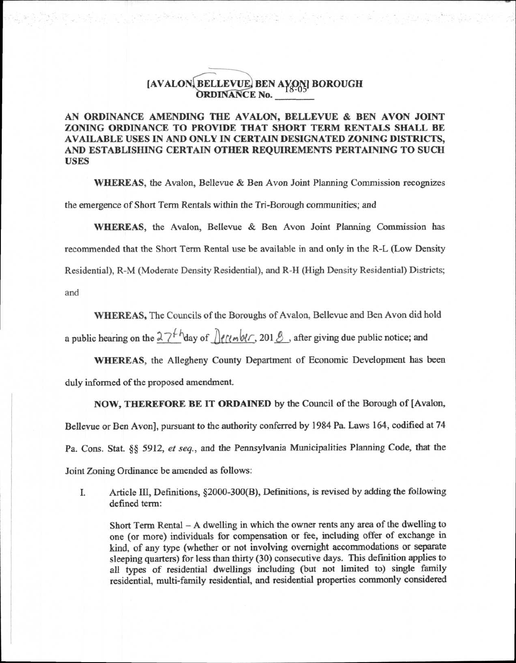## **[AVALON BELLEVUE, BEN AVON] BOROUGH**  $\overline{\text{ANCE No.}}$

i za juli 1960 marshi (1970 za

## AN ORDINANCE AMENDING THE AVALON, BELLEVUE & **BEN AVON JOINT**  ZONING ORDINANCE TO PROVIDE THAT SHORT TERM **RENTALS SHALL BE**  AVAILABLE USES IN AND ONLY IN CERTAIN DESIGNATED ZONING DISTRICTS, AND ESTABLISHING CERTAIN OTHER REQUIREMENTS PERTAINING TO SUCH USES

WHEREAS, the Avalon, Bellevue & Ben Avon Joint Planning Commission recognizes the emergence of Short Term Rentals within the Tri-Borough communities; and

WHEREAS, the Avalon, Bellevue & Ben Avon Joint Planning Commission has

recommended that the Short Term Rental use be available in and only in the R-L (Low Density

Residential), R-M (Moderate Density Residential), and R-H (High Density Residential) Districts;

and

WHEREAS, The Councils of the Boroughs of Avalon, Bellevue and Ben Avon did hold

a public hearing on the  $27<sup>b</sup>$ <sup>h</sup>day of  $\int$  *((lm W<sub>i</sub>*, 201  $\beta$  , after giving due public notice; and

WHEREAS, the Allegheny County Department of Economic Development has been duly informed of the proposed amendment.

NOW, THEREFORE BE IT ORDAINED by the Council of the Borough of [Avalon,

Bellevue or Ben Avon], pursuant to the authority conferred by 1984 Pa. Laws 164, codified at 74

Pa. Cons. Stat. §§ 5912, *et seq.,* and the Pennsylvania Municipalities Planning Code, that the

Joint Zoning Ordinance be amended as follows:

I. Article III, Definitions, §2000-300(B), Definitions, is revised by adding the following defined term:

Short Term Rental — A dwelling in which the owner rents any area of the dwelling to one (or more) individuals for compensation or fee, including offer of exchange in kind, of any type (whether or not involving overnight accommodations or separate sleeping quarters) for less than thirty (30) consecutive days. This definition applies to all types of residential dwellings including (but not limited to) single family residential, multi-family residential, and residential properties commonly considered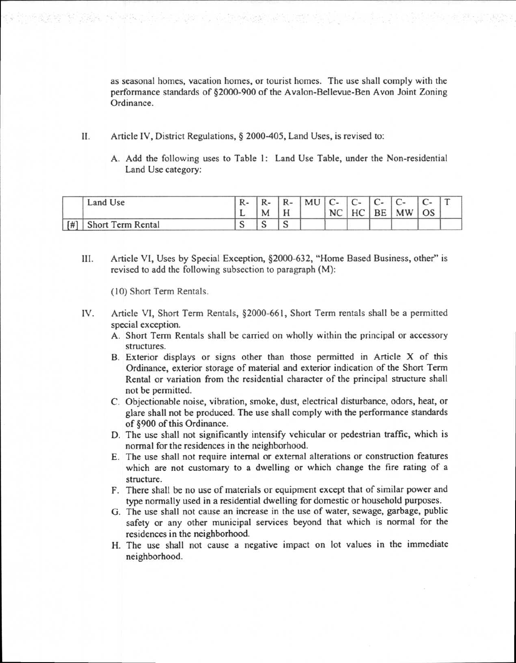as seasonal homes, vacation homes, or tourist homes. The use shall comply with the performance standards of §2000-900 of the Avalon-Bellevue-Ben Avon Joint Zoning Ordinance.

II. Article IV, District Regulations, § 2000-405, Land Uses, is revised to:

화화는 거 작품이 높다는 것을 하는 사람들과 자신이

A. Add the following uses to Table 1: Land Use Table, under the Non-residential Land Use category:

|     | Land Use          | <u>.</u> |   | R- | MU | $ C-$<br>NC. | $^{\circ}$ C-<br>H <sub>C</sub> | $\sqrt{ }$<br>BE | $\sqrt{ }$<br><b>MW</b> | <b>OS</b> |  |
|-----|-------------------|----------|---|----|----|--------------|---------------------------------|------------------|-------------------------|-----------|--|
| [#] | Short Term Rental | ື        | ີ | ັ  |    |              |                                 |                  |                         |           |  |

III. Article VI, Uses by Special Exception, §2000-632, "Home Based Business, other" is revised to add the following subsection to paragraph (M):

(10) Short Term Rentals.

- IV. Article VI, Short Term Rentals, §2000-661, Short Term rentals shall be a permitted special exception.
	- A. Short Term Rentals shall be carried on wholly within the principal or accessory structures.
	- B. Exterior displays or signs other than those permitted in Article X of this Ordinance, exterior storage of material and exterior indication of the Short Term Rental or variation from the residential character of the principal structure shall not be permitted.
	- C. Objectionable noise, vibration, smoke, dust, electrical disturbance, odors, heat, or glare shall not be produced. The use shall comply with the performance standards of §900 of this Ordinance.
	- D. The use shall not significantly intensify vehicular or pedestrian traffic, which is normal for the residences in the neighborhood.
	- E. The use shall not require internal or external alterations or construction features which are not customary to a dwelling or which change the fire rating of a structure.
	- F. There shall be no use of materials or equipment except that of similar power and type normally used in a residential dwelling for domestic or household purposes.
	- G. The use shall not cause an increase in the use of water, sewage, garbage, public safety or any other municipal services beyond that which is normal for the residences in the neighborhood.
	- H. The use shall not cause a negative impact on lot values in the immediate neighborhood.